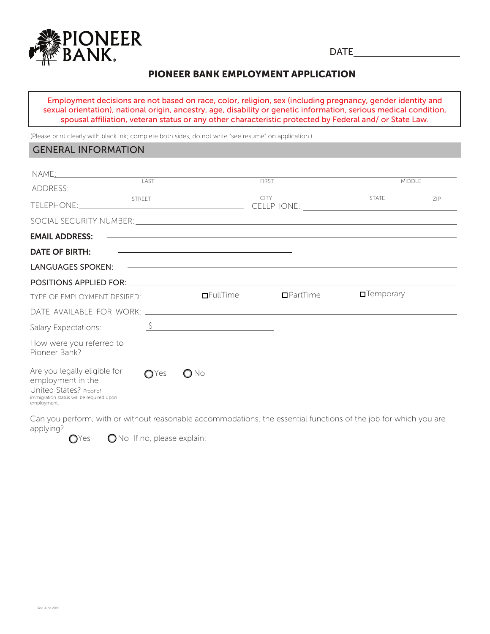

**DATE** 

# PIONEER BANK EMPLOYMENT APPLICATION

Employment decisions are not based on race, color, religion, sex (including pregnancy, gender identity and sexual orientation), national origin, ancestry, age, disability or genetic information, serious medical condition, spousal affiliation, veteran status or any other characteristic protected by Federal and/ or State Law.

(Please print clearly with black ink; complete both sides, do not write "see resume" on application.)

### **GENERAL INFORMATION**

| NAME <u>: 2008 - 2008 - 2014 - 2014 - 2014 - 2014 - 2014 - 2014 - 2014 - 2014 - 2014 - 2014 - 2014 - 2014 - 2014 -</u>                                                                                                               |               |                                                                                                                                                                                                                               |                 |                          |     |
|--------------------------------------------------------------------------------------------------------------------------------------------------------------------------------------------------------------------------------------|---------------|-------------------------------------------------------------------------------------------------------------------------------------------------------------------------------------------------------------------------------|-----------------|--------------------------|-----|
|                                                                                                                                                                                                                                      | LAST          |                                                                                                                                                                                                                               | <b>FIRST</b>    | <b>MIDDLE</b>            |     |
|                                                                                                                                                                                                                                      | <b>STREET</b> |                                                                                                                                                                                                                               | <b>CITY</b>     | <b>STATE</b>             | ZIP |
| SOCIAL SECURITY NUMBER: <u>Containing the containing of the containing of the containing of the containing of the containing of the containing of the containing of the containing of the containing of the containing of the co</u> |               |                                                                                                                                                                                                                               |                 |                          |     |
| <b>EMAIL ADDRESS:</b>                                                                                                                                                                                                                |               | <u> 1990 - Jan Barbara de Santo de Santo de Santo de Santo de Santo de Santo de Santo de Santo de Santo de Santo </u>                                                                                                         |                 |                          |     |
| <b>DATE OF BIRTH:</b>                                                                                                                                                                                                                |               | the control of the control of the control of the control of the control of the control of the control of the control of the control of the control of the control of the control of the control of the control of the control |                 |                          |     |
| LANGUAGES SPOKEN:                                                                                                                                                                                                                    |               | <u> 1999 - Johann Harry Harry Harry Harry Harry Harry Harry Harry Harry Harry Harry Harry Harry Harry Harry Harry H</u>                                                                                                       |                 |                          |     |
|                                                                                                                                                                                                                                      |               |                                                                                                                                                                                                                               |                 |                          |     |
| TYPE OF EMPLOYMENT DESIRED:                                                                                                                                                                                                          |               | $I$ FullTime                                                                                                                                                                                                                  | $\Box$ PartTime | $\blacksquare$ Temporary |     |
|                                                                                                                                                                                                                                      |               |                                                                                                                                                                                                                               |                 |                          |     |
| Salary Expectations:                                                                                                                                                                                                                 |               | $\frac{S}{S}$                                                                                                                                                                                                                 |                 |                          |     |
| How were you referred to<br>Pioneer Bank?                                                                                                                                                                                            |               |                                                                                                                                                                                                                               |                 |                          |     |
| Are you legally eligible for<br>employment in the<br>United States? Proof of<br>immigration status will be required upon<br>employment.                                                                                              | $O$ Yes       | $\bigcirc$ No                                                                                                                                                                                                                 |                 |                          |     |

Can you perform, with or without reasonable accommodations, the essential functions of the job for which you are applying?

 $O<sub>Yes</sub>$ ONo If no, please explain: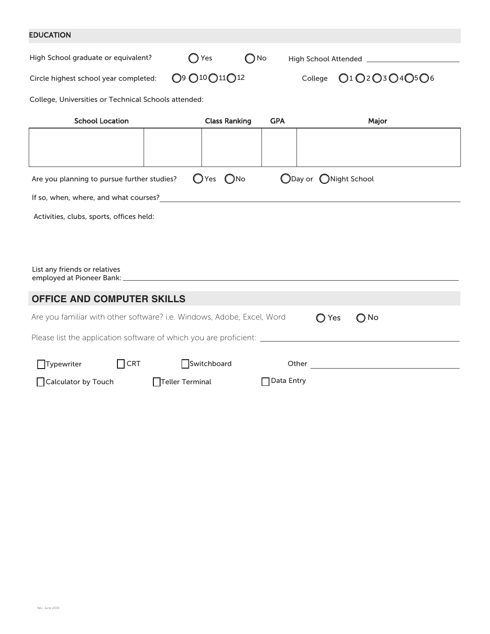### EDUCATION

| High School graduate or equivalent?                                                                  | Yes                                                            | $\bigcirc$ No | High School Attended __________________                                                                                                                                                                                              |  |  |  |
|------------------------------------------------------------------------------------------------------|----------------------------------------------------------------|---------------|--------------------------------------------------------------------------------------------------------------------------------------------------------------------------------------------------------------------------------------|--|--|--|
| Circle highest school year completed:                                                                | O <sub>9</sub> O <sub>10</sub> O <sub>11</sub> O <sub>12</sub> |               | College 01 02 03 04 05 06                                                                                                                                                                                                            |  |  |  |
| College, Universities or Technical Schools attended:                                                 |                                                                |               |                                                                                                                                                                                                                                      |  |  |  |
| <b>School Location</b>                                                                               | <b>Class Ranking</b>                                           | <b>GPA</b>    | Major                                                                                                                                                                                                                                |  |  |  |
|                                                                                                      |                                                                |               |                                                                                                                                                                                                                                      |  |  |  |
| ODay or ONight School<br>$O$ Yes $O$ No<br>Are you planning to pursue further studies?               |                                                                |               |                                                                                                                                                                                                                                      |  |  |  |
|                                                                                                      | If so, when, where, and what courses?_____                     |               |                                                                                                                                                                                                                                      |  |  |  |
| Activities, clubs, sports, offices held:                                                             |                                                                |               |                                                                                                                                                                                                                                      |  |  |  |
|                                                                                                      |                                                                |               |                                                                                                                                                                                                                                      |  |  |  |
|                                                                                                      |                                                                |               |                                                                                                                                                                                                                                      |  |  |  |
| List any friends or relatives                                                                        |                                                                |               |                                                                                                                                                                                                                                      |  |  |  |
| <b>OFFICE AND COMPUTER SKILLS</b>                                                                    |                                                                |               |                                                                                                                                                                                                                                      |  |  |  |
| Are you familiar with other software? i.e. Windows, Adobe, Excel, Word                               |                                                                |               | $\bigcirc$ No<br>$\bigcirc$ Yes                                                                                                                                                                                                      |  |  |  |
| Please list the application software of which you are proficient: __________________________________ |                                                                |               |                                                                                                                                                                                                                                      |  |  |  |
| Typewriter<br>$\Box$ CRT                                                                             | Switchboard                                                    |               | Other <u>and the contract of the contract of the contract of the contract of the contract of the contract of the contract of the contract of the contract of the contract of the contract of the contract of the contract of the</u> |  |  |  |
| □ Calculator by Touch                                                                                | Teller Terminal                                                | □ Data Entry  |                                                                                                                                                                                                                                      |  |  |  |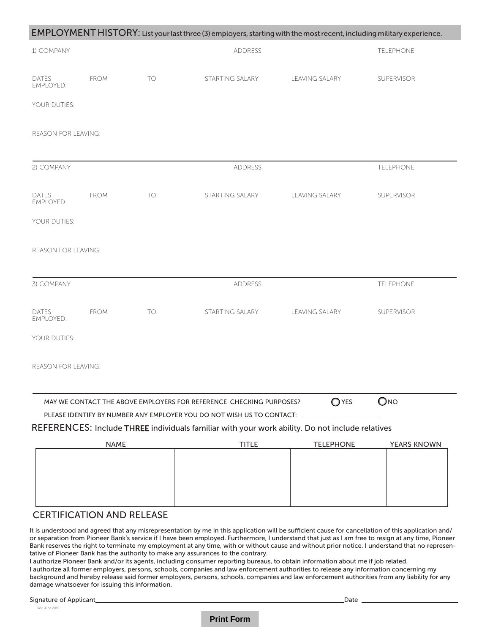|                                  |             |           | EMPLOYMENT HISTORY: List your last three (3) employers, starting with the most recent, including military experience.                        |                       |               |
|----------------------------------|-------------|-----------|----------------------------------------------------------------------------------------------------------------------------------------------|-----------------------|---------------|
| 1) COMPANY                       |             |           | ADDRESS                                                                                                                                      |                       | TELEPHONE     |
| DATES<br>EMPLOYED:               | <b>FROM</b> | <b>TO</b> | STARTING SALARY                                                                                                                              | <b>LEAVING SALARY</b> | SUPERVISOR    |
| YOUR DUTIES:                     |             |           |                                                                                                                                              |                       |               |
| REASON FOR LEAVING:              |             |           |                                                                                                                                              |                       |               |
| 2) COMPANY                       |             |           | ADDRESS                                                                                                                                      |                       | TELEPHONE     |
| <b>DATES</b><br>EMPLOYED:        | <b>FROM</b> | <b>TO</b> | STARTING SALARY                                                                                                                              | LEAVING SALARY        | SUPERVISOR    |
| YOUR DUTIES:                     |             |           |                                                                                                                                              |                       |               |
| REASON FOR LEAVING:              |             |           |                                                                                                                                              |                       |               |
| 3) COMPANY                       |             |           | ADDRESS                                                                                                                                      |                       | TELEPHONE     |
| DATES<br><b>EMPLOYED:</b>        | <b>FROM</b> | TO        | STARTING SALARY                                                                                                                              | LEAVING SALARY        | SUPERVISOR    |
| YOUR DUTIES:                     |             |           |                                                                                                                                              |                       |               |
| REASON FOR LEAVING:              |             |           |                                                                                                                                              |                       |               |
|                                  |             |           | MAY WE CONTACT THE ABOVE EMPLOYERS FOR REFERENCE CHECKING PURPOSES?<br>PLEASE IDENTIFY BY NUMBER ANY EMPLOYER YOU DO NOT WISH US TO CONTACT: | $\bigcirc$ YES        | $\bigcirc$ NO |
|                                  |             |           | REFERENCES: Include THREE individuals familiar with your work ability. Do not include relatives                                              |                       |               |
|                                  | <b>NAME</b> |           | <b>TITLE</b>                                                                                                                                 | <b>TELEPHONE</b>      | YEARS KNOWN   |
|                                  |             |           |                                                                                                                                              |                       |               |
|                                  |             |           |                                                                                                                                              |                       |               |
|                                  |             |           |                                                                                                                                              |                       |               |
| <b>CERTIFICATION AND RELEASE</b> |             |           |                                                                                                                                              |                       |               |

It is understood and agreed that any misrepresentation by me in this application will be sufficient cause for cancellation of this application and/ or separation from Pioneer Bank's service if I have been employed. Furthermore, I understand that just as I am free to resign at any time, Pioneer Bank reserves the right to terminate my employment at any time, with or without cause and without prior notice. I understand that no representative of Pioneer Bank has the authority to make any assurances to the contrary.

I authorize Pioneer Bank and/or its agents, including consumer reporting bureaus, to obtain information about me if job related.

I authorize all former employers, persons, schools, companies and law enforcement authorities to release any information concerning my background and hereby release said former employers, persons, schools, companies and law enforcement authorities from any liability for any damage whatsoever for issuing this information.

Signature of Applicant\_

Rev. June 2019

 $Data<sub>-</sub>$ 

### **Print Form**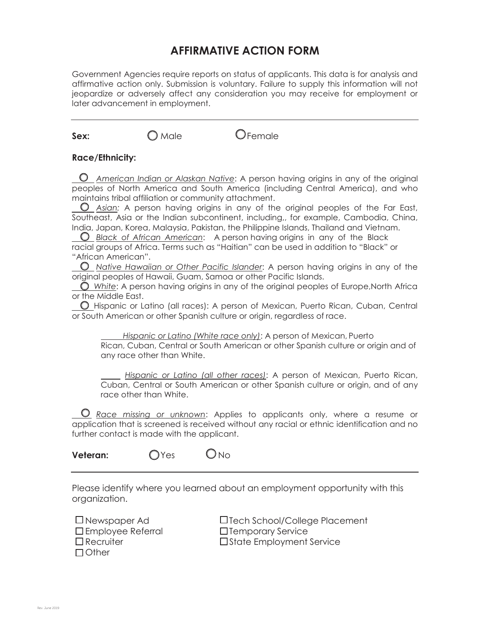# **AFFIRMATIVE ACTION FORM**

Government Agencies require reports on status of applicants. This data is for analysis and affirmative action only. Submission is voluntary. Failure to supply this information will not jeopardize or adversely affect any consideration you may receive for employment or later advancement in employment.

| Sex: | Male                                                                                             | $\mathcal{\mathcal{F}}$ emale                                                                                                                                                                                                                                                                                                                                                                                                                                                                                                                                                                                 |
|------|--------------------------------------------------------------------------------------------------|---------------------------------------------------------------------------------------------------------------------------------------------------------------------------------------------------------------------------------------------------------------------------------------------------------------------------------------------------------------------------------------------------------------------------------------------------------------------------------------------------------------------------------------------------------------------------------------------------------------|
|      | <b>Race/Ethnicity:</b>                                                                           |                                                                                                                                                                                                                                                                                                                                                                                                                                                                                                                                                                                                               |
|      | maintains tribal affiliation or community attachment.<br>"African American".                     | American Indian or Alaskan Native: A person having origins in any of the original<br>peoples of North America and South America (including Central America), and who<br>Asian: A person having origins in any of the original peoples of the Far East,<br>Southeast, Asia or the Indian subcontinent, including,, for example, Cambodia, China,<br>India, Japan, Korea, Malaysia, Pakistan, the Philippine Islands, Thailand and Vietnam.<br>Black of African American: A person having origins in any of the Black<br>racial groups of Africa. Terms such as "Haitian" can be used in addition to "Black" or |
|      | original peoples of Hawaii, Guam, Samoa or other Pacific Islands.                                | Native Hawaiian or Other Pacific Islander: A person having origins in any of the<br>$\bigcirc$ White: A person having origins in any of the original peoples of Europe, North Africa                                                                                                                                                                                                                                                                                                                                                                                                                          |
|      | or the Middle East.<br>or South American or other Spanish culture or origin, regardless of race. | O Hispanic or Latino (all races): A person of Mexican, Puerto Rican, Cuban, Central                                                                                                                                                                                                                                                                                                                                                                                                                                                                                                                           |
|      | any race other than White.                                                                       | Hispanic or Latino (White race only): A person of Mexican, Puerto<br>Rican, Cuban, Central or South American or other Spanish culture or origin and of                                                                                                                                                                                                                                                                                                                                                                                                                                                        |
|      | race other than White.                                                                           | Hispanic or Latino (all other races): A person of Mexican, Puerto Rican,<br>Cuban, Central or South American or other Spanish culture or origin, and of any                                                                                                                                                                                                                                                                                                                                                                                                                                                   |
|      | further contact is made with the applicant.                                                      | <u><b>O</b> Race missing or unknown</u> : Applies to applicants only, where a resume or<br>application that is screened is received without any racial or ethnic identification and no                                                                                                                                                                                                                                                                                                                                                                                                                        |

**Veteran:** OYes ONo

Please identify where you learned about an employment opportunity with this organization.

| $\square$ Newspaper Ad     |  |
|----------------------------|--|
| $\square$ Employee Referra |  |
| $\Box$ Recruiter           |  |
| $\Box$ Other               |  |

 $\square$  Tech School/College Placement  $\Box$  Temporary Service  $\Box$ State Employment Service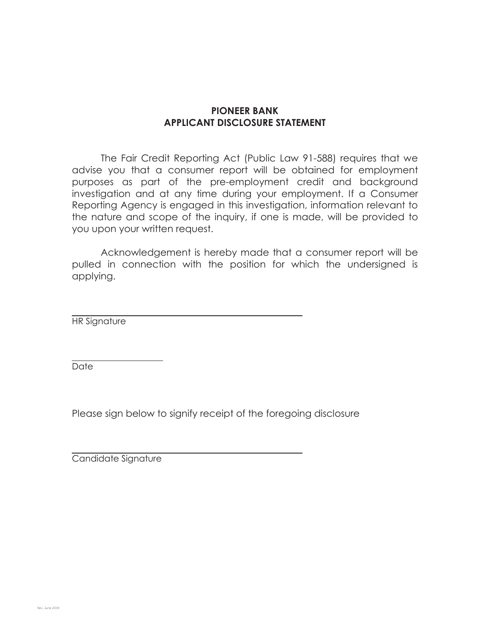# **PIONEER BANK APPLICANT DISCLOSURE STATEMENT**

The Fair Credit Reporting Act (Public Law 91-588) requires that we advise you that a consumer report will be obtained for employment purposes as part of the pre-employment credit and background investigation and at any time during your employment. If a Consumer Reporting Agency is engaged in this investigation, information relevant to the nature and scope of the inquiry, if one is made, will be provided to you upon your written request.

Acknowledgement is hereby made that a consumer report will be pulled in connection with the position for which the undersigned is applying.

HR Signature

Date

Please sign below to signify receipt of the foregoing disclosure

Candidate Signature